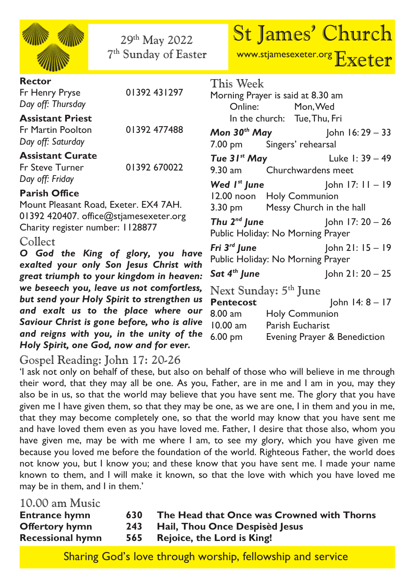| 29th May 2022<br>7 <sup>th</sup> Sunday of Easter                                        | <b>St James' Church</b><br>www.stjamesexeter.org Exeter                                                            |
|------------------------------------------------------------------------------------------|--------------------------------------------------------------------------------------------------------------------|
| <b>Rector</b><br>01392 431297<br>Fr Henry Pryse<br>Day off: Thursday                     | This Week<br>Morning Prayer is said at 8.30 am<br>Online: Mon, Wed                                                 |
| <b>Assistant Priest</b><br>01392 477488<br><b>Fr Martin Poolton</b><br>Day off: Saturday | In the church: Tue, Thu, Fri<br><b>Mon 30th May</b> John 16:29 - 33<br>7.00 pm Singers' rehearsal                  |
| <b>Assistant Curate</b><br>01392 670022<br>Fr Steve Turner<br>Day off: Friday            | <b>Tue 31<sup>st</sup> May</b> Luke 1: $39 - 49$<br>9.30 am Churchwardens meet                                     |
| <b>Parish Office</b><br>Mount Pleasant Road, Exeter. EX4 7AH.                            | <b>Wed I<sup>st</sup> June</b> John 17: $11 - 19$<br>12.00 noon Holy Communion<br>3.30 pm Messy Church in the hall |
| 01392 420407. office@stjamesexeter.org<br>Charity register number: 1128877<br>Collect    | <b>Thu 2<sup>nd</sup> June</b> John 17: $20 - 26$<br>Public Holiday: No Morning Prayer                             |
| O God the King of glory, you have<br>exalted your only Son Jesus Christ with             | Fri $3^{rd}$ June John 21: $15 - 19$<br>Public Holiday: No Morning Prayer                                          |
| great triumph to your kingdom in heaven:                                                 | <b>Sat 4<sup>th</sup> June</b> John 21: $20 - 25$                                                                  |
| we beseech you, leave us not comfortless,                                                | Next Sunday: 5 <sup>th</sup> June                                                                                  |
| but send your Holy Spirit to strengthen us<br>and exalt us to the place where our        | John 14: 8 - 17<br><b>Pentecost</b>                                                                                |
| Saviour Christ is gone before, who is alive                                              | $8.00 \text{ am}$<br>Holy Communion<br>Parish Eucharist<br>10.00 am                                                |
| and reigns with you, in the unity of the<br>Holy Spirit, one God, now and for ever.      | 6.00 pm<br>Evening Prayer & Benediction                                                                            |

## Gospel Reading: John 17: 20-26

'I ask not only on behalf of these, but also on behalf of those who will believe in me through their word, that they may all be one. As you, Father, are in me and I am in you, may they also be in us, so that the world may believe that you have sent me. The glory that you have given me I have given them, so that they may be one, as we are one, I in them and you in me, that they may become completely one, so that the world may know that you have sent me and have loved them even as you have loved me. Father, I desire that those also, whom you have given me, may be with me where I am, to see my glory, which you have given me because you loved me before the foundation of the world. Righteous Father, the world does not know you, but I know you; and these know that you have sent me. I made your name known to them, and I will make it known, so that the love with which you have loved me may be in them, and I in them.'

10.00 am Music<br>**Entrance hymn Entrance hymn 630 The Head that Once was Crowned with Thorns Offertory hymn 243 Hail, Thou Once Despisèd Jesus Recessional hymn 565 Rejoice, the Lord is King!**

Sharing God's love through worship, fellowship and service